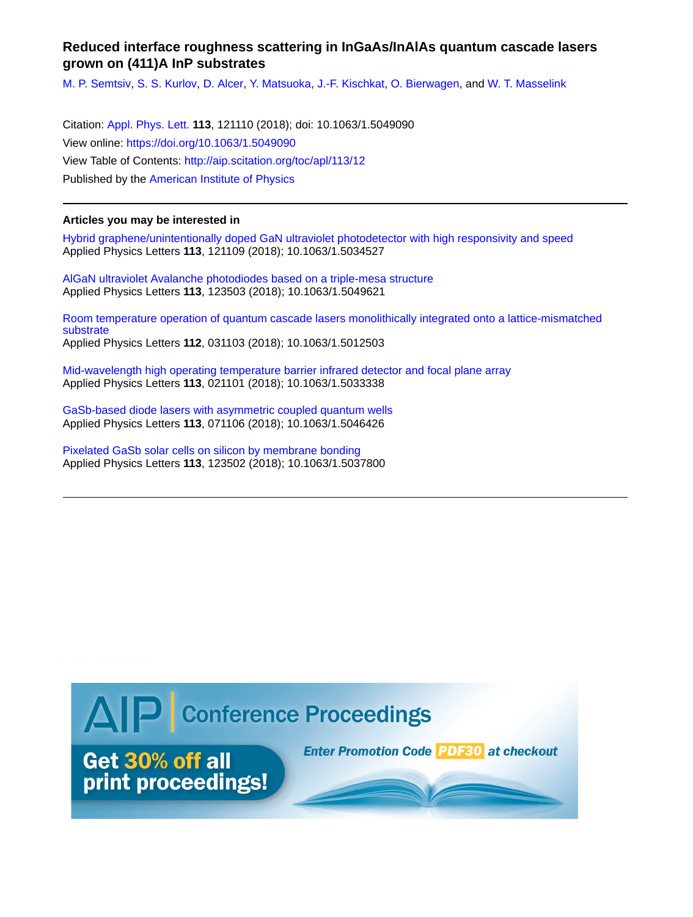## **Reduced interface roughness scattering in InGaAs/InAlAs quantum cascade lasers grown on (411)A InP substrates**

[M. P. Semtsiv,](http://aip.scitation.org/author/Semtsiv%2C+M+P) [S. S. Kurlov](http://aip.scitation.org/author/Kurlov%2C+S+S), [D. Alcer](http://aip.scitation.org/author/Alcer%2C+D), [Y. Matsuoka,](http://aip.scitation.org/author/Matsuoka%2C+Y) [J.-F. Kischkat,](http://aip.scitation.org/author/Kischkat%2C+J-F) [O. Bierwagen,](http://aip.scitation.org/author/Bierwagen%2C+O) and [W. T. Masselink](http://aip.scitation.org/author/Masselink%2C+W+T)

Citation: [Appl. Phys. Lett.](/loi/apl) **113**, 121110 (2018); doi: 10.1063/1.5049090 View online: <https://doi.org/10.1063/1.5049090> View Table of Contents: <http://aip.scitation.org/toc/apl/113/12> Published by the [American Institute of Physics](http://aip.scitation.org/publisher/)

## **Articles you may be interested in**

[Hybrid graphene/unintentionally doped GaN ultraviolet photodetector with high responsivity and speed](http://aip.scitation.org/doi/abs/10.1063/1.5034527) Applied Physics Letters **113**, 121109 (2018); 10.1063/1.5034527

[AlGaN ultraviolet Avalanche photodiodes based on a triple-mesa structure](http://aip.scitation.org/doi/abs/10.1063/1.5049621) Applied Physics Letters **113**, 123503 (2018); 10.1063/1.5049621

[Room temperature operation of quantum cascade lasers monolithically integrated onto a lattice-mismatched](http://aip.scitation.org/doi/abs/10.1063/1.5012503) [substrate](http://aip.scitation.org/doi/abs/10.1063/1.5012503) Applied Physics Letters **112**, 031103 (2018); 10.1063/1.5012503

[Mid-wavelength high operating temperature barrier infrared detector and focal plane array](http://aip.scitation.org/doi/abs/10.1063/1.5033338) Applied Physics Letters **113**, 021101 (2018); 10.1063/1.5033338

[GaSb-based diode lasers with asymmetric coupled quantum wells](http://aip.scitation.org/doi/abs/10.1063/1.5046426) Applied Physics Letters **113**, 071106 (2018); 10.1063/1.5046426

[Pixelated GaSb solar cells on silicon by membrane bonding](http://aip.scitation.org/doi/abs/10.1063/1.5037800) Applied Physics Letters **113**, 123502 (2018); 10.1063/1.5037800

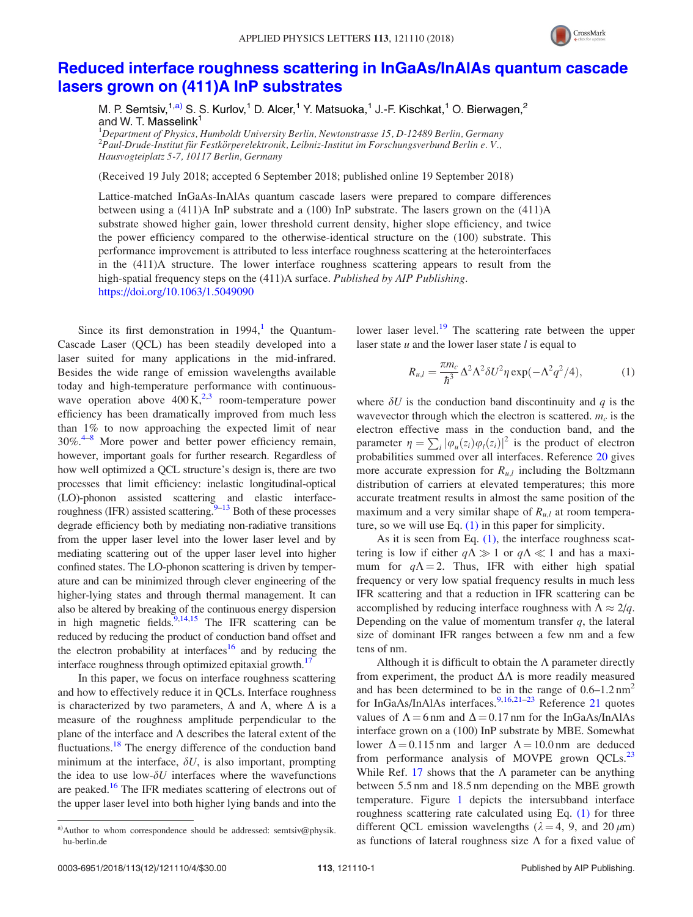

## [Reduced interface roughness scattering in InGaAs/InAlAs quantum cascade](https://doi.org/10.1063/1.5049090) [lasers grown on \(411\)A InP substrates](https://doi.org/10.1063/1.5049090)

M. P. Semtsiv,  $1, a)$  S. S. Kurlov,  $1$  D. Alcer,  $1$  Y. Matsuoka,  $1$  J.-F. Kischkat,  $1$  O. Bierwagen,  $2$ and W. T. Masselink<sup>1</sup>

 $^1$ Department of Physics, Humboldt University Berlin, Newtonstrasse 15, D-12489 Berlin, Germany  $^2$ Paul-Drude-Institut für Festkörperelektronik, Leibniz-Institut im Forschungsverbund Berlin e. V., Hausvogteiplatz 5-7, 10117 Berlin, Germany

(Received 19 July 2018; accepted 6 September 2018; published online 19 September 2018)

Lattice-matched InGaAs-InAlAs quantum cascade lasers were prepared to compare differences between using a (411)A InP substrate and a (100) InP substrate. The lasers grown on the (411)A substrate showed higher gain, lower threshold current density, higher slope efficiency, and twice the power efficiency compared to the otherwise-identical structure on the (100) substrate. This performance improvement is attributed to less interface roughness scattering at the heterointerfaces in the (411)A structure. The lower interface roughness scattering appears to result from the high-spatial frequency steps on the (411)A surface. Published by AIP Publishing. <https://doi.org/10.1063/1.5049090>

Since its first demonstration in  $1994$  $1994$ , the Quantum-Cascade Laser (QCL) has been steadily developed into a laser suited for many applications in the mid-infrared. Besides the wide range of emission wavelengths available today and high-temperature performance with continuouswave operation above  $400 \text{ K}^{2,3}$  $400 \text{ K}^{2,3}$  $400 \text{ K}^{2,3}$  room-temperature power efficiency has been dramatically improved from much less than 1% to now approaching the expected limit of near  $30\%$ <sup>[4–8](#page-4-0)</sup> More power and better power efficiency remain, however, important goals for further research. Regardless of how well optimized a QCL structure's design is, there are two processes that limit efficiency: inelastic longitudinal-optical (LO)-phonon assisted scattering and elastic interfaceroughness (IFR) assisted scattering. $9-13$  Both of these processes degrade efficiency both by mediating non-radiative transitions from the upper laser level into the lower laser level and by mediating scattering out of the upper laser level into higher confined states. The LO-phonon scattering is driven by temperature and can be minimized through clever engineering of the higher-lying states and through thermal management. It can also be altered by breaking of the continuous energy dispersion in high magnetic fields.<sup>[9](#page-4-0),[14](#page-4-0),[15](#page-4-0)</sup> The IFR scattering can be reduced by reducing the product of conduction band offset and the electron probability at interfaces<sup>[16](#page-4-0)</sup> and by reducing the interface roughness through optimized epitaxial growth.<sup>[17](#page-4-0)</sup>

In this paper, we focus on interface roughness scattering and how to effectively reduce it in QCLs. Interface roughness is characterized by two parameters,  $\Delta$  and  $\Lambda$ , where  $\Delta$  is a measure of the roughness amplitude perpendicular to the plane of the interface and  $\Lambda$  describes the lateral extent of the fluctuations.<sup>[18](#page-4-0)</sup> The energy difference of the conduction band minimum at the interface,  $\delta U$ , is also important, prompting the idea to use low- $\delta U$  interfaces where the wavefunctions are peaked.<sup>[16](#page-4-0)</sup> The IFR mediates scattering of electrons out of the upper laser level into both higher lying bands and into the lower laser level.<sup>[19](#page-4-0)</sup> The scattering rate between the upper laser state  $u$  and the lower laser state  $l$  is equal to

$$
R_{u,l} = \frac{\pi m_c}{\hbar^3} \Delta^2 \Lambda^2 \delta U^2 \eta \exp(-\Lambda^2 q^2/4), \tag{1}
$$

where  $\delta U$  is the conduction band discontinuity and q is the wavevector through which the electron is scattered.  $m_c$  is the electron effective mass in the conduction band, and the parameter  $\eta = \sum_i |\varphi_u(z_i)\varphi_l(z_i)|^2$  is the product of electron probabilities summed over all interfaces. Reference [20](#page-4-0) gives more accurate expression for  $R_{u,l}$  including the Boltzmann distribution of carriers at elevated temperatures; this more accurate treatment results in almost the same position of the maximum and a very similar shape of  $R_{u,l}$  at room temperature, so we will use Eq. (1) in this paper for simplicity.

As it is seen from Eq.  $(1)$ , the interface roughness scattering is low if either  $q\Lambda \gg 1$  or  $q\Lambda \ll 1$  and has a maximum for  $q\Lambda = 2$ . Thus, IFR with either high spatial frequency or very low spatial frequency results in much less IFR scattering and that a reduction in IFR scattering can be accomplished by reducing interface roughness with  $\Lambda \approx 2/q$ . Depending on the value of momentum transfer  $q$ , the lateral size of dominant IFR ranges between a few nm and a few tens of nm.

Although it is difficult to obtain the  $\Lambda$  parameter directly from experiment, the product  $\Delta\Lambda$  is more readily measured and has been determined to be in the range of  $0.6-1.2 \text{ nm}^2$ for InGaAs/InAlAs interfaces.<sup>[9,16,21–23](#page-4-0)</sup> Reference [21](#page-4-0) quotes values of  $\Lambda = 6$  nm and  $\Delta = 0.17$  nm for the InGaAs/InAlAs interface grown on a (100) InP substrate by MBE. Somewhat lower  $\Delta = 0.115$  nm and larger  $\Lambda = 10.0$  nm are deduced from performance analysis of MOVPE grown  $QCLs<sup>23</sup>$  $QCLs<sup>23</sup>$  $QCLs<sup>23</sup>$ While Ref. [17](#page-4-0) shows that the  $\Lambda$  parameter can be anything between 5.5 nm and 18.5 nm depending on the MBE growth temperature. Figure [1](#page-2-0) depicts the intersubband interface roughness scattering rate calculated using Eq. (1) for three different QCL emission wavelengths ( $\lambda = 4$ , 9, and 20  $\mu$ m) as functions of lateral roughness size  $\Lambda$  for a fixed value of

a)Author to whom correspondence should be addressed: [semtsiv@physik.](mailto:semtsiv@physik.hu-berlin.de) [hu-berlin.de](mailto:semtsiv@physik.hu-berlin.de)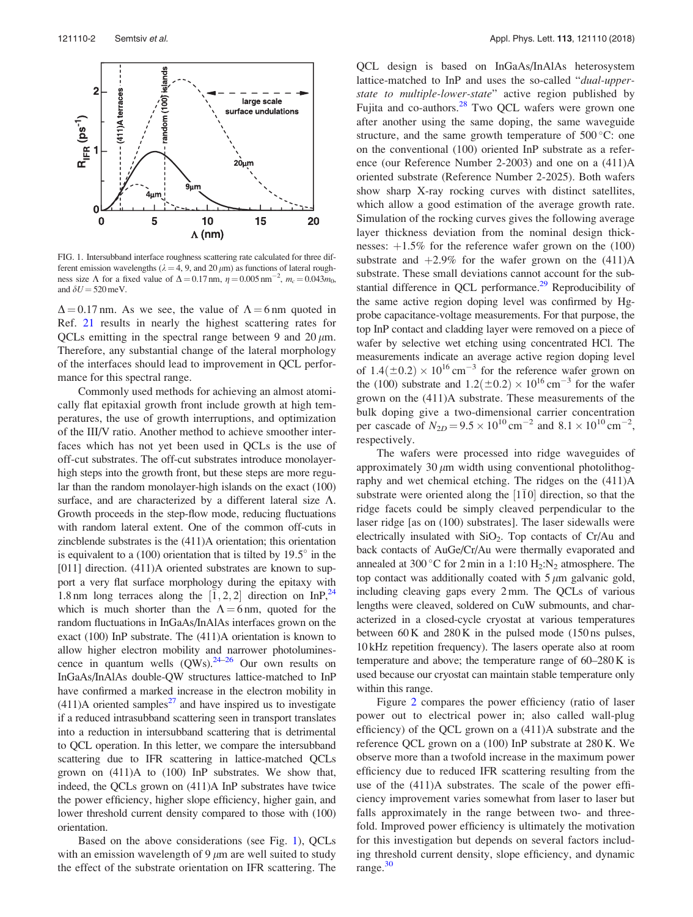<span id="page-2-0"></span>

FIG. 1. Intersubband interface roughness scattering rate calculated for three different emission wavelengths ( $\lambda = 4$ , 9, and 20  $\mu$ m) as functions of lateral roughness size  $\Lambda$  for a fixed value of  $\Delta = 0.17$  nm,  $\eta = 0.005$  nm<sup>-2</sup>,  $m_c = 0.043 m_0$ , and  $\delta U$  = 520 meV.

 $\Delta$  = 0.17 nm. As we see, the value of  $\Lambda$  = 6 nm quoted in Ref. [21](#page-4-0) results in nearly the highest scattering rates for QCLs emitting in the spectral range between 9 and 20  $\mu$ m. Therefore, any substantial change of the lateral morphology of the interfaces should lead to improvement in QCL performance for this spectral range.

Commonly used methods for achieving an almost atomically flat epitaxial growth front include growth at high temperatures, the use of growth interruptions, and optimization of the III/V ratio. Another method to achieve smoother interfaces which has not yet been used in QCLs is the use of off-cut substrates. The off-cut substrates introduce monolayerhigh steps into the growth front, but these steps are more regular than the random monolayer-high islands on the exact (100) surface, and are characterized by a different lateral size  $\Lambda$ . Growth proceeds in the step-flow mode, reducing fluctuations with random lateral extent. One of the common off-cuts in zincblende substrates is the (411)A orientation; this orientation is equivalent to a  $(100)$  orientation that is tilted by  $19.5^\circ$  in the [011] direction. (411)A oriented substrates are known to support a very flat surface morphology during the epitaxy with 1.8 nm long terraces along the  $[\overline{1}, 2, 2]$  direction on InP,<sup>[24](#page-4-0)</sup> which is much shorter than the  $\Lambda = 6$  nm, quoted for the random fluctuations in InGaAs/InAlAs interfaces grown on the exact (100) InP substrate. The (411)A orientation is known to allow higher electron mobility and narrower photoluminescence in quantum wells  $(QWs)$ .<sup>24–26</sup> Our own results on InGaAs/InAlAs double-QW structures lattice-matched to InP have confirmed a marked increase in the electron mobility in  $(411)$ A oriented samples<sup>[27](#page-4-0)</sup> and have inspired us to investigate if a reduced intrasubband scattering seen in transport translates into a reduction in intersubband scattering that is detrimental to QCL operation. In this letter, we compare the intersubband scattering due to IFR scattering in lattice-matched QCLs grown on (411)A to (100) InP substrates. We show that, indeed, the QCLs grown on (411)A InP substrates have twice the power efficiency, higher slope efficiency, higher gain, and lower threshold current density compared to those with (100) orientation.

Based on the above considerations (see Fig. 1), QCLs with an emission wavelength of  $9 \mu m$  are well suited to study the effect of the substrate orientation on IFR scattering. The QCL design is based on InGaAs/InAlAs heterosystem lattice-matched to InP and uses the so-called "dual-upperstate to multiple-lower-state" active region published by Fujita and co-authors.<sup>[28](#page-4-0)</sup> Two QCL wafers were grown one after another using the same doping, the same waveguide structure, and the same growth temperature of  $500^{\circ}$ C: one on the conventional (100) oriented InP substrate as a reference (our Reference Number 2-2003) and one on a (411)A oriented substrate (Reference Number 2-2025). Both wafers show sharp X-ray rocking curves with distinct satellites, which allow a good estimation of the average growth rate. Simulation of the rocking curves gives the following average layer thickness deviation from the nominal design thicknesses:  $+1.5\%$  for the reference wafer grown on the (100) substrate and  $+2.9\%$  for the wafer grown on the (411)A substrate. These small deviations cannot account for the sub-stantial difference in QCL performance.<sup>[29](#page-4-0)</sup> Reproducibility of the same active region doping level was confirmed by Hgprobe capacitance-voltage measurements. For that purpose, the top InP contact and cladding layer were removed on a piece of wafer by selective wet etching using concentrated HCl. The measurements indicate an average active region doping level of  $1.4(\pm 0.2) \times 10^{16}$  cm<sup>-3</sup> for the reference wafer grown on the (100) substrate and  $1.2(\pm 0.2) \times 10^{16}$  cm<sup>-3</sup> for the wafer grown on the (411)A substrate. These measurements of the bulk doping give a two-dimensional carrier concentration per cascade of  $N_{2D} = 9.5 \times 10^{10} \text{ cm}^{-2}$  and  $8.1 \times 10^{10} \text{ cm}^{-2}$ , respectively.

The wafers were processed into ridge waveguides of approximately  $30 \mu m$  width using conventional photolithography and wet chemical etching. The ridges on the (411)A substrate were oriented along the  $[1\bar{1}0]$  direction, so that the ridge facets could be simply cleaved perpendicular to the laser ridge [as on (100) substrates]. The laser sidewalls were electrically insulated with  $SiO<sub>2</sub>$ . Top contacts of Cr/Au and back contacts of AuGe/Cr/Au were thermally evaporated and annealed at 300 °C for 2 min in a 1:10  $H_2:N_2$  atmosphere. The top contact was additionally coated with  $5 \mu m$  galvanic gold, including cleaving gaps every 2 mm. The QCLs of various lengths were cleaved, soldered on CuW submounts, and characterized in a closed-cycle cryostat at various temperatures between  $60 K$  and  $280 K$  in the pulsed mode  $(150 \text{ ns} \text{ pulses},$ 10 kHz repetition frequency). The lasers operate also at room temperature and above; the temperature range of 60–280 K is used because our cryostat can maintain stable temperature only within this range.

Figure [2](#page-3-0) compares the power efficiency (ratio of laser power out to electrical power in; also called wall-plug efficiency) of the QCL grown on a (411)A substrate and the reference QCL grown on a (100) InP substrate at 280 K. We observe more than a twofold increase in the maximum power efficiency due to reduced IFR scattering resulting from the use of the (411)A substrates. The scale of the power efficiency improvement varies somewhat from laser to laser but falls approximately in the range between two- and threefold. Improved power efficiency is ultimately the motivation for this investigation but depends on several factors including threshold current density, slope efficiency, and dynamic range. $30$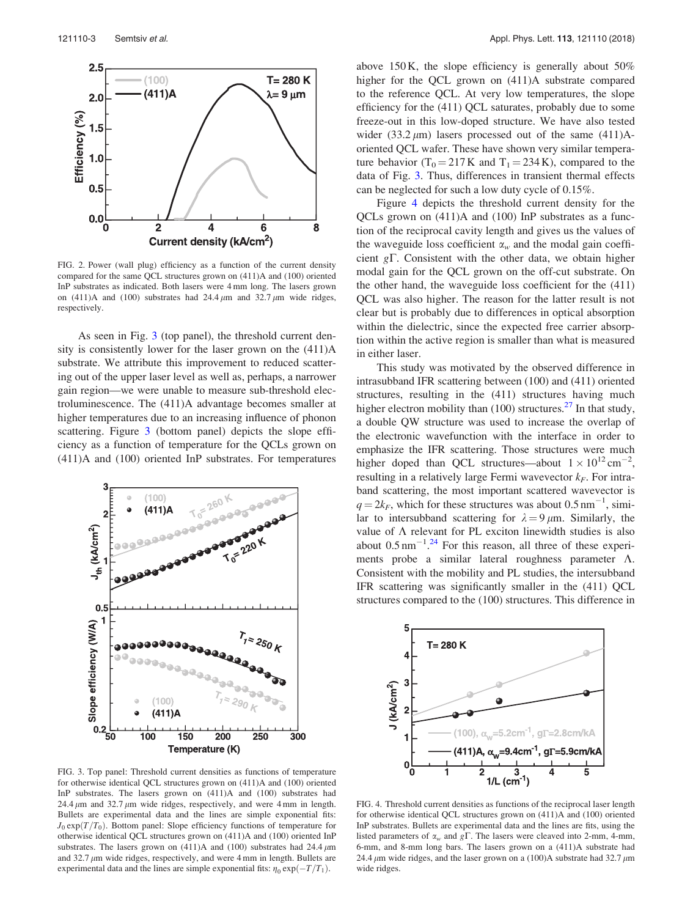<span id="page-3-0"></span>

FIG. 2. Power (wall plug) efficiency as a function of the current density compared for the same QCL structures grown on (411)A and (100) oriented InP substrates as indicated. Both lasers were 4 mm long. The lasers grown on (411)A and (100) substrates had  $24.4 \mu m$  and  $32.7 \mu m$  wide ridges, respectively.

As seen in Fig. 3 (top panel), the threshold current density is consistently lower for the laser grown on the (411)A substrate. We attribute this improvement to reduced scattering out of the upper laser level as well as, perhaps, a narrower gain region—we were unable to measure sub-threshold electroluminescence. The (411)A advantage becomes smaller at higher temperatures due to an increasing influence of phonon scattering. Figure 3 (bottom panel) depicts the slope efficiency as a function of temperature for the QCLs grown on (411)A and (100) oriented InP substrates. For temperatures



FIG. 3. Top panel: Threshold current densities as functions of temperature for otherwise identical QCL structures grown on (411)A and (100) oriented InP substrates. The lasers grown on (411)A and (100) substrates had 24.4  $\mu$ m and 32.7  $\mu$ m wide ridges, respectively, and were 4 mm in length. Bullets are experimental data and the lines are simple exponential fits:  $J_0 \exp(T/T_0)$ . Bottom panel: Slope efficiency functions of temperature for otherwise identical QCL structures grown on (411)A and (100) oriented InP substrates. The lasers grown on  $(411)A$  and  $(100)$  substrates had 24.4  $\mu$ m and  $32.7 \mu m$  wide ridges, respectively, and were 4 mm in length. Bullets are experimental data and the lines are simple exponential fits:  $\eta_0 \exp(-T/T_1)$ .

above 150 K, the slope efficiency is generally about  $50\%$ higher for the QCL grown on (411)A substrate compared to the reference QCL. At very low temperatures, the slope efficiency for the (411) QCL saturates, probably due to some freeze-out in this low-doped structure. We have also tested wider (33.2  $\mu$ m) lasers processed out of the same (411)Aoriented QCL wafer. These have shown very similar temperature behavior (T<sub>0</sub> = 217 K and T<sub>1</sub> = 234 K), compared to the data of Fig. 3. Thus, differences in transient thermal effects can be neglected for such a low duty cycle of 0.15%.

Figure 4 depicts the threshold current density for the QCLs grown on (411)A and (100) InP substrates as a function of the reciprocal cavity length and gives us the values of the waveguide loss coefficient  $\alpha_w$  and the modal gain coefficient  $g\Gamma$ . Consistent with the other data, we obtain higher modal gain for the QCL grown on the off-cut substrate. On the other hand, the waveguide loss coefficient for the (411) QCL was also higher. The reason for the latter result is not clear but is probably due to differences in optical absorption within the dielectric, since the expected free carrier absorption within the active region is smaller than what is measured in either laser.

This study was motivated by the observed difference in intrasubband IFR scattering between (100) and (411) oriented structures, resulting in the (411) structures having much higher electron mobility than (100) structures.<sup>[27](#page-4-0)</sup> In that study, a double QW structure was used to increase the overlap of the electronic wavefunction with the interface in order to emphasize the IFR scattering. Those structures were much higher doped than QCL structures—about  $1 \times 10^{12} \text{ cm}^{-2}$ , resulting in a relatively large Fermi wavevector  $k_F$ . For intraband scattering, the most important scattered wavevector is  $q = 2k_F$ , which for these structures was about 0.5 nm<sup>-1</sup>, similar to intersubband scattering for  $\lambda = 9 \mu m$ . Similarly, the value of  $\Lambda$  relevant for PL exciton linewidth studies is also about  $0.5 \text{ nm}^{-1}$ .<sup>[24](#page-4-0)</sup> For this reason, all three of these experiments probe a similar lateral roughness parameter  $\Lambda$ . Consistent with the mobility and PL studies, the intersubband IFR scattering was significantly smaller in the (411) QCL structures compared to the (100) structures. This difference in



FIG. 4. Threshold current densities as functions of the reciprocal laser length for otherwise identical QCL structures grown on (411)A and (100) oriented InP substrates. Bullets are experimental data and the lines are fits, using the listed parameters of  $\alpha_w$  and  $g\Gamma$ . The lasers were cleaved into 2-mm, 4-mm, 6-mm, and 8-mm long bars. The lasers grown on a (411)A substrate had 24.4  $\mu$ m wide ridges, and the laser grown on a (100)A substrate had 32.7  $\mu$ m wide ridges.